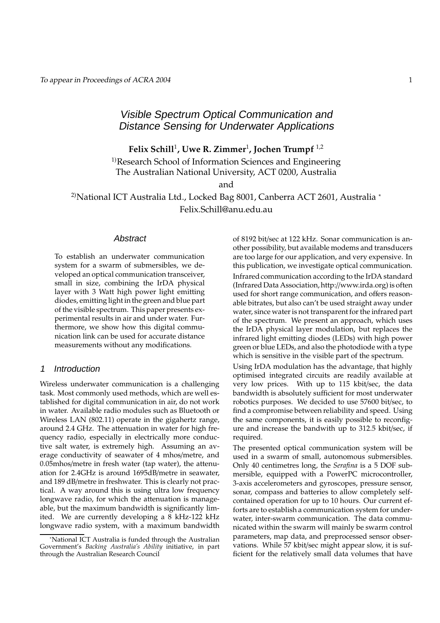# Visible Spectrum Optical Communication and Distance Sensing for Underwater Applications

**Felix Schill**<sup>1</sup> **, Uwe R. Zimmer**<sup>1</sup> **, Jochen Trumpf** <sup>1</sup>,<sup>2</sup>

<sup>1)</sup>Research School of Information Sciences and Engineering The Australian National University, ACT 0200, Australia

and

<sup>2)</sup>National ICT Australia Ltd., Locked Bag 8001, Canberra ACT 2601, Australia <sup>∗</sup> Felix.Schill@anu.edu.au

#### **Abstract**

To establish an underwater communication system for a swarm of submersibles, we developed an optical communication transceiver, small in size, combining the IrDA physical layer with 3 Watt high power light emitting diodes, emitting light in the green and blue part of the visible spectrum. This paper presents experimental results in air and under water. Furthermore, we show how this digital communication link can be used for accurate distance measurements without any modifications.

### 1 Introduction

Wireless underwater communication is a challenging task. Most commonly used methods, which are well established for digital communication in air, do not work in water. Available radio modules such as Bluetooth or Wireless LAN (802.11) operate in the gigahertz range, around 2.4 GHz. The attenuation in water for high frequency radio, especially in electrically more conductive salt water, is extremely high. Assuming an average conductivity of seawater of 4 mhos/metre, and 0.05mhos/metre in fresh water (tap water), the attenuation for 2.4GHz is around 1695dB/metre in seawater, and 189 dB/metre in freshwater. This is clearly not practical. A way around this is using ultra low frequency longwave radio, for which the attenuation is manageable, but the maximum bandwidth is significantly limited. We are currently developing a 8 kHz-122 kHz longwave radio system, with a maximum bandwidth

of 8192 bit/sec at 122 kHz. Sonar communication is another possibility, but available modems and transducers are too large for our application, and very expensive. In this publication, we investigate optical communication. Infrared communication according to the IrDA standard (Infrared Data Association, http://www.irda.org) is often used for short range communication, and offers reasonable bitrates, but also can't be used straight away under water, since water is not transparent for the infrared part of the spectrum. We present an approach, which uses the IrDA physical layer modulation, but replaces the infrared light emitting diodes (LEDs) with high power green or blue LEDs, and also the photodiode with a type which is sensitive in the visible part of the spectrum.

Using IrDA modulation has the advantage, that highly optimised integrated circuits are readily available at very low prices. With up to 115 kbit/sec, the data bandwidth is absolutely sufficient for most underwater robotics purposes. We decided to use 57600 bit/sec, to find a compromise between reliability and speed. Using the same components, it is easily possible to reconfigure and increase the bandwith up to 312.5 kbit/sec, if required.

The presented optical communication system will be used in a swarm of small, autonomous submersibles. Only 40 centimetres long, the *Serafina* is a 5 DOF submersible, equipped with a PowerPC microcontroller, 3-axis accelerometers and gyroscopes, pressure sensor, sonar, compass and batteries to allow completely selfcontained operation for up to 10 hours. Our current efforts are to establish a communication system for underwater, inter-swarm communication. The data communicated within the swarm will mainly be swarm control parameters, map data, and preprocessed sensor observations. While 57 kbit/sec might appear slow, it is sufficient for the relatively small data volumes that have

<sup>∗</sup>National ICT Australia is funded through the Australian Government's *Backing Australia's Ability* initiative, in part through the Australian Research Council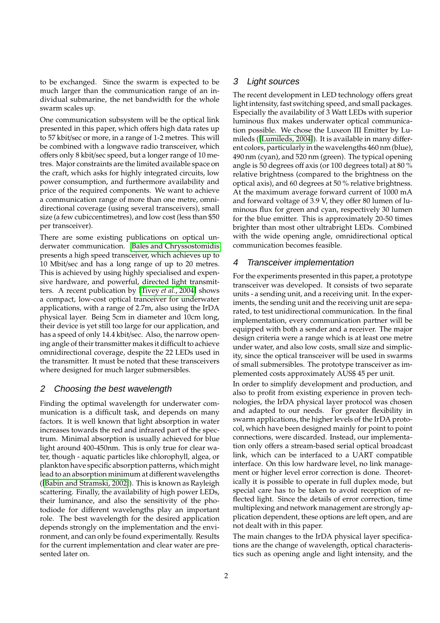to be exchanged. Since the swarm is expected to be much larger than the communication range of an individual submarine, the net bandwidth for the whole swarm scales up.

One communication subsystem will be the optical link presented in this paper, which offers high data rates up to 57 kbit/sec or more, in a range of 1-2 metres. This will be combined with a longwave radio transceiver, which offers only 8 kbit/sec speed, but a longer range of 10 metres. Major constraints are the limited available space on the craft, which asks for highly integrated circuits, low power consumption, and furthermore availability and price of the required components. We want to achieve a communication range of more than one metre, omnidirectional coverage (using several transceivers), small size (a few cubiccentimetres), and low cost (less than \$50 per transceiver).

There are some existing publications on optical underwater communication. Bales and [Chryssostomidis](#page-7-0) presents a high speed transceiver, which achieves up to 10 Mbit/sec and has a long range of up to 20 metres. This is achieved by using highly specialised and expensive hardware, and powerful, directed light transmitters. A recent publication by [\[Tivey](#page-7-1) *et al.*, 2004] shows a compact, low-cost optical tranceiver for underwater applications, with a range of 2.7m, also using the IrDA physical layer. Being 5cm in diameter and 10cm long, their device is yet still too large for our application, and has a speed of only 14.4 kbit/sec. Also, the narrow opening angle of their transmitter makes it difficult to achieve omnidirectional coverage, despite the 22 LEDs used in the transmitter. It must be noted that these transceivers where designed for much larger submersibles.

#### 2 Choosing the best wavelength

Finding the optimal wavelength for underwater communication is a difficult task, and depends on many factors. It is well known that light absorption in water increases towards the red and infrared part of the spectrum. Minimal absorption is usually achieved for blue light around 400-450nm. This is only true for clear water, though - aquatic particles like chlorophyll, algea, or plankton have specific absorption patterns, which might lead to an absorption minimum at different wavelengths ([Babin and [Stramski,](#page-7-2) 2002]). This is known as Rayleigh scattering. Finally, the availability of high power LEDs, their luminance, and also the sensitivity of the photodiode for different wavelengths play an important role. The best wavelength for the desired application depends strongly on the implementation and the environment, and can only be found experimentally. Results for the current implementation and clear water are presented later on.

#### 3 Light sources

The recent development in LED technology offers great light intensity, fast switching speed, and small packages. Especially the availability of 3 Watt LEDs with superior luminous flux makes underwater optical communication possible. We chose the Luxeon III Emitter by Lumileds ([\[Lumileds,](#page-7-3) 2004]). It is available in many different colors, particularly in the wavelengths 460 nm (blue), 490 nm (cyan), and 520 nm (green). The typical opening angle is 50 degrees off axis (or 100 degrees total) at 80 % relative brightness (compared to the brightness on the optical axis), and 60 degrees at 50 % relative brightness. At the maximum average forward current of 1000 mA and forward voltage of 3.9 V, they offer 80 lumen of luminous flux for green and cyan, respectively 30 lumen for the blue emitter. This is approximately 20-50 times brighter than most other ultrabright LEDs. Combined with the wide opening angle, omnidirectional optical communication becomes feasible.

#### 4 Transceiver implementation

For the experiments presented in this paper, a prototype transceiver was developed. It consists of two separate units - a sending unit, and a receiving unit. In the experiments, the sending unit and the receiving unit are separated, to test unidirectional communication. In the final implementation, every communication partner will be equipped with both a sender and a receiver. The major design criteria were a range which is at least one metre under water, and also low costs, small size and simplicity, since the optical transceiver will be used in swarms of small submersibles. The prototype transceiver as implemented costs approximately AUS\$ 45 per unit.

In order to simplify development and production, and also to profit from existing experience in proven technologies, the IrDA physical layer protocol was chosen and adapted to our needs. For greater flexibility in swarm applications, the higher levels of the IrDA protocol, which have been designed mainly for point to point connections, were discarded. Instead, our implementation only offers a stream-based serial optical broadcast link, which can be interfaced to a UART compatible interface. On this low hardware level, no link management or higher level error correction is done. Theoretically it is possible to operate in full duplex mode, but special care has to be taken to avoid reception of reflected light. Since the details of error correction, time multiplexing and network management are strongly application dependent, these options are left open, and are not dealt with in this paper.

The main changes to the IrDA physical layer specifications are the change of wavelength, optical characteristics such as opening angle and light intensity, and the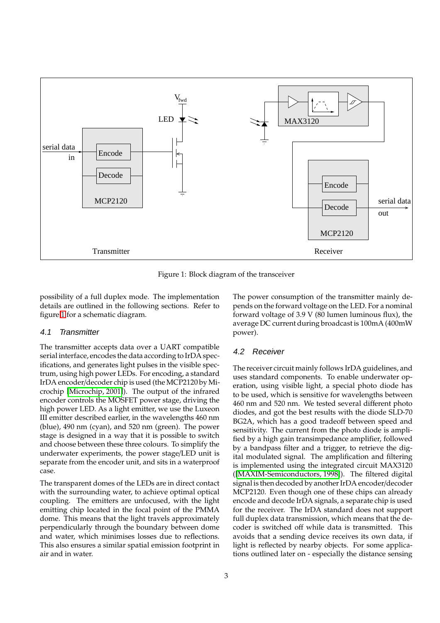

<span id="page-2-0"></span>Figure 1: Block diagram of the transceiver

possibility of a full duplex mode. The implementation details are outlined in the following sections. Refer to figure [1](#page-2-0) for a schematic diagram.

#### 4.1 Transmitter

The transmitter accepts data over a UART compatible serial interface, encodes the data according to IrDA specifications, and generates light pulses in the visible spectrum, using high power LEDs. For encoding, a standard IrDA encoder/decoder chip is used (the MCP2120 by Microchip [\[Microchip,](#page-7-4) 2001]). The output of the infrared encoder controls the MOSFET power stage, driving the high power LED. As a light emitter, we use the Luxeon III emitter described earlier, in the wavelengths 460 nm (blue), 490 nm (cyan), and 520 nm (green). The power stage is designed in a way that it is possible to switch and choose between these three colours. To simplify the underwater experiments, the power stage/LED unit is separate from the encoder unit, and sits in a waterproof case.

The transparent domes of the LEDs are in direct contact with the surrounding water, to achieve optimal optical coupling. The emitters are unfocused, with the light emitting chip located in the focal point of the PMMA dome. This means that the light travels approximately perpendicularly through the boundary between dome and water, which minimises losses due to reflections. This also ensures a similar spatial emission footprint in air and in water.

The power consumption of the transmitter mainly depends on the forward voltage on the LED. For a nominal forward voltage of 3.9 V (80 lumen luminous flux), the average DC current during broadcast is 100mA (400mW power).

#### 4.2 Receiver

The receiver circuit mainly follows IrDA guidelines, and uses standard components. To enable underwater operation, using visible light, a special photo diode has to be used, which is sensitive for wavelengths between 460 nm and 520 nm. We tested several different photo diodes, and got the best results with the diode SLD-70 BG2A, which has a good tradeoff between speed and sensitivity. The current from the photo diode is amplified by a high gain transimpedance amplifier, followed by a bandpass filter and a trigger, to retrieve the digital modulated signal. The amplification and filtering is implemented using the integrated circuit MAX3120 ([\[MAXIM-Semiconductors,](#page-7-5) 1998]). The filtered digital signal is then decoded by another IrDA encoder/decoder MCP2120. Even though one of these chips can already encode and decode IrDA signals, a separate chip is used for the receiver. The IrDA standard does not support full duplex data transmission, which means that the decoder is switched off while data is transmitted. This avoids that a sending device receives its own data, if light is reflected by nearby objects. For some applications outlined later on - especially the distance sensing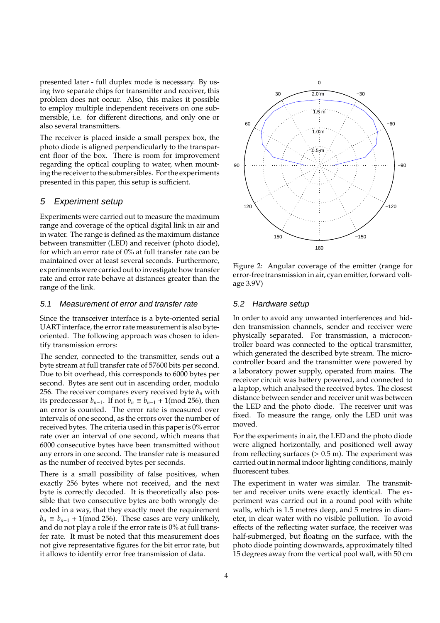presented later - full duplex mode is necessary. By using two separate chips for transmitter and receiver, this problem does not occur. Also, this makes it possible to employ multiple independent receivers on one submersible, i.e. for different directions, and only one or also several transmitters.

The receiver is placed inside a small perspex box, the photo diode is aligned perpendicularly to the transparent floor of the box. There is room for improvement regarding the optical coupling to water, when mounting the receiver to the submersibles. For the experiments presented in this paper, this setup is sufficient.

### 5 Experiment setup

Experiments were carried out to measure the maximum range and coverage of the optical digital link in air and in water. The range is defined as the maximum distance between transmitter (LED) and receiver (photo diode), for which an error rate of 0% at full transfer rate can be maintained over at least several seconds. Furthermore, experiments were carried out to investigate how transfer rate and error rate behave at distances greater than the range of the link.

#### 5.1 Measurement of error and transfer rate

Since the transceiver interface is a byte-oriented serial UART interface, the error rate measurement is also byteoriented. The following approach was chosen to identify transmission errors:

The sender, connected to the transmitter, sends out a byte stream at full transfer rate of 57600 bits per second. Due to bit overhead, this corresponds to 6000 bytes per second. Bytes are sent out in ascending order, modulo 256. The receiver compares every received byte  $b_n$  with its predecessor  $b_{n-1}$ . If not  $b_n \equiv b_{n-1} + 1 \pmod{256}$ , then an error is counted. The error rate is measured over intervals of one second, as the errors over the number of received bytes. The criteria used in this paper is 0% error rate over an interval of one second, which means that 6000 consecutive bytes have been transmitted without any errors in one second. The transfer rate is measured as the number of received bytes per seconds.

There is a small possibility of false positives, when exactly 256 bytes where not received, and the next byte is correctly decoded. It is theoretically also possible that two consecutive bytes are both wrongly decoded in a way, that they exactly meet the requirement  $b_n \equiv b_{n-1} + 1 \pmod{256}$ . These cases are very unlikely, and do not play a role if the error rate is 0% at full transfer rate. It must be noted that this measurement does not give representative figures for the bit error rate, but it allows to identify error free transmission of data.



<span id="page-3-0"></span>Figure 2: Angular coverage of the emitter (range for error-free transmission in air, cyan emitter, forward voltage 3.9V)

#### 5.2 Hardware setup

In order to avoid any unwanted interferences and hidden transmission channels, sender and receiver were physically separated. For transmission, a microcontroller board was connected to the optical transmitter, which generated the described byte stream. The microcontroller board and the transmitter were powered by a laboratory power supply, operated from mains. The receiver circuit was battery powered, and connected to a laptop, which analysed the received bytes. The closest distance between sender and receiver unit was between the LED and the photo diode. The receiver unit was fixed. To measure the range, only the LED unit was moved.

For the experiments in air, the LED and the photo diode were aligned horizontally, and positioned well away from reflecting surfaces  $(> 0.5 \text{ m})$ . The experiment was carried out in normal indoor lighting conditions, mainly fluorescent tubes.

The experiment in water was similar. The transmitter and receiver units were exactly identical. The experiment was carried out in a round pool with white walls, which is 1.5 metres deep, and 5 metres in diameter, in clear water with no visible pollution. To avoid effects of the reflecting water surface, the receiver was half-submerged, but floating on the surface, with the photo diode pointing downwards, approximately tilted 15 degrees away from the vertical pool wall, with 50 cm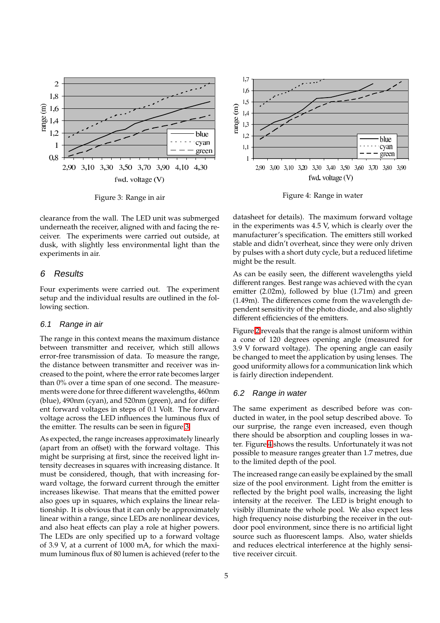

<span id="page-4-0"></span>Figure 3: Range in air

clearance from the wall. The LED unit was submerged underneath the receiver, aligned with and facing the receiver. The experiments were carried out outside, at dusk, with slightly less environmental light than the experiments in air.

#### 6 Results

Four experiments were carried out. The experiment setup and the individual results are outlined in the following section.

#### 6.1 Range in air

The range in this context means the maximum distance between transmitter and receiver, which still allows error-free transmission of data. To measure the range, the distance between transmitter and receiver was increased to the point, where the error rate becomes larger than 0% over a time span of one second. The measurements were done for three different wavelengths, 460nm (blue), 490nm (cyan), and 520nm (green), and for different forward voltages in steps of 0.1 Volt. The forward voltage across the LED influences the luminous flux of the emitter. The results can be seen in figure [3.](#page-4-0)

As expected, the range increases approximately linearly (apart from an offset) with the forward voltage. This might be surprising at first, since the received light intensity decreases in squares with increasing distance. It must be considered, though, that with increasing forward voltage, the forward current through the emitter increases likewise. That means that the emitted power also goes up in squares, which explains the linear relationship. It is obvious that it can only be approximately linear within a range, since LEDs are nonlinear devices, and also heat effects can play a role at higher powers. The LEDs are only specified up to a forward voltage of 3.9 V, at a current of 1000 mA, for which the maximum luminous flux of 80 lumen is achieved (referto the



<span id="page-4-1"></span>Figure 4: Range in water

datasheet for details). The maximum forward voltage in the experiments was 4.5 V, which is clearly over the manufacturer's specification. The emitters still worked stable and didn't overheat, since they were only driven by pulses with a short duty cycle, but a reduced lifetime might be the result.

As can be easily seen, the different wavelengths yield different ranges. Best range was achieved with the cyan emitter (2.02m), followed by blue (1.71m) and green (1.49m). The differences come from the wavelength dependent sensitivity of the photo diode, and also slightly different efficiencies of the emitters.

Figure [2](#page-3-0) reveals that the range is almost uniform within a cone of 120 degrees opening angle (measured for 3.9 V forward voltage). The opening angle can easily be changed to meet the application by using lenses. The good uniformity allows for a communication link which is fairly direction independent.

#### 6.2 Range in water

The same experiment as described before was conducted in water, in the pool setup described above. To our surprise, the range even increased, even though there should be absorption and coupling losses in water. Figure [4](#page-4-1) shows the results. Unfortunately it was not possible to measure ranges greater than 1.7 metres, due to the limited depth of the pool.

The increased range can easily be explained by the small size of the pool environment. Light from the emitter is reflected by the bright pool walls, increasing the light intensity at the receiver. The LED is bright enough to visibly illuminate the whole pool. We also expect less high frequency noise disturbing the receiver in the outdoor pool environment, since there is no artificial light source such as fluorescent lamps. Also, water shields and reduces electrical interference at the highly sensitive receiver circuit.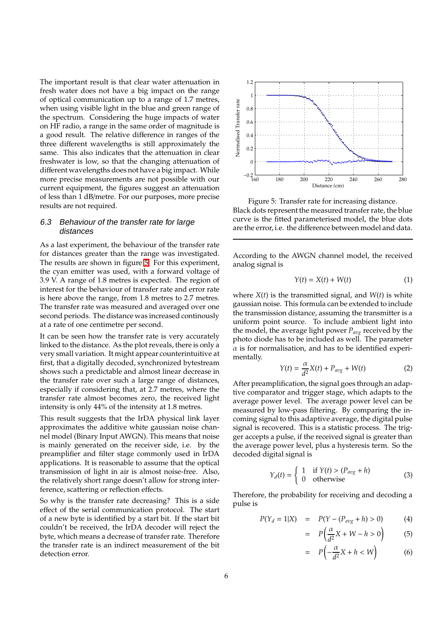The important result is that clear water attenuation in fresh water does not have a big impact on the range of optical communication up to a range of 1.7 metres, when using visible light in the blue and green range of the spectrum. Considering the huge impacts of water on HF radio, a range in the same order of magnitude is a good result. The relative difference in ranges of the three different wavelengths is still approximately the same. This also indicates that the attenuation in clear freshwater is low, so that the changing attenuation of different wavelengths does not have a big impact. While more precise measurements are not possible with our current equipment, the figures suggest an attenuation of less than 1 dB/metre. For our purposes, more precise results are not required.

#### 6.3 Behaviour of the transfer rate for large distances

As a last experiment, the behaviour of the transfer rate for distances greater than the range was investigated. The results are shown in figure [5.](#page-5-0) For this experiment, the cyan emitter was used, with a forward voltage of 3.9 V. A range of 1.8 metres is expected. The region of interest for the behaviour of transfer rate and error rate is here above the range, from 1.8 metres to 2.7 metres. The transfer rate was measured and averaged over one second periods. The distance was increased continously at a rate of one centimetre per second.

It can be seen how the transfer rate is very accurately linked to the distance. As the plot reveals, there is only a very small variation. It might appear counterintuitive at first, that a digitally decoded, synchronized bytestream shows such a predictable and almost linear decrease in the transfer rate over such a large range of distances, especially if considering that, at 2.7 metres, where the transfer rate almost becomes zero, the received light intensity is only 44% of the intensity at 1.8 metres.

This result suggests that the IrDA physical link layer approximates the additive white gaussian noise channel model (Binary Input AWGN). This means that noise is mainly generated on the receiver side, i.e. by the preamplifier and filter stage commonly used in IrDA applications. It is reasonable to assume that the optical transmission of light in air is almost noise-free. Also, the relatively short range doesn't allow for strong interference, scattering or reflection effects.

So why is the transfer rate decreasing? This is a side effect of the serial communication protocol. The start of a new byte is identified by a start bit. If the start bit couldn't be received, the IrDA decoder will reject the byte, which means a decrease of transfer rate. Therefore the transfer rate is an indirect measurement of the bit detection error.



<span id="page-5-0"></span>Figure 5: Transfer rate for increasing distance. Black dots represent the measured transferrate, the blue curve is the fitted parameterised model, the blue dots are the error, i.e. the difference between model and data.

According to the AWGN channel model, the received analog signal is

$$
Y(t) = X(t) + W(t)
$$
 (1)

where  $X(t)$  is the transmitted signal, and  $W(t)$  is white gaussian noise. This formula can be extended to include the transmission distance, assuming the transmitter is a uniform point source. To include ambient light into the model, the average light power *Pavg* received by the photo diode has to be included as well. The parameter  $\alpha$  is for normalisation, and has to be identified experimentally.

$$
Y(t) = \frac{\alpha}{d^2}X(t) + P_{avg} + W(t)
$$
 (2)

After preamplification, the signal goes through an adaptive comparator and trigger stage, which adapts to the average power level. The average power level can be measured by low-pass filtering. By comparing the incoming signal to this adaptive average, the digital pulse signal is recovered. This is a statistic process. The trigger accepts a pulse, if the received signal is greater than the average power level, plus a hysteresis term. So the decoded digital signal is

$$
Y_d(t) = \begin{cases} 1 & \text{if } Y(t) > (P_{avg} + h) \\ 0 & \text{otherwise} \end{cases}
$$
 (3)

Therefore, the probability for receiving and decoding a pulse is

$$
P(Y_d = 1|X) = P(Y - (P_{avg} + h) > 0)
$$
 (4)

$$
= P\left(\frac{\alpha}{d^2}X + W - h > 0\right) \tag{5}
$$

$$
= P\left(-\frac{\alpha}{d^2}X + h < W\right) \tag{6}
$$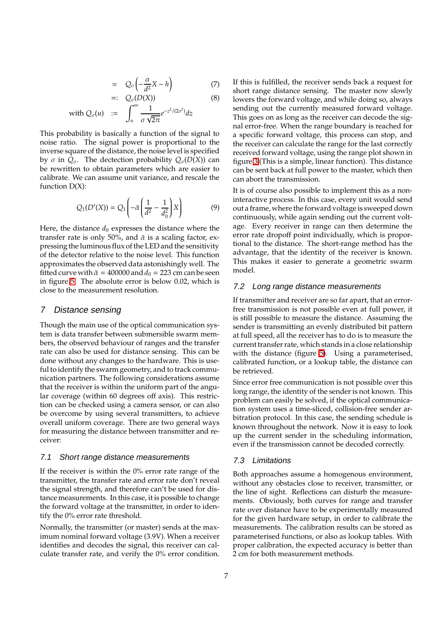$$
= Q_{\sigma}\left(-\frac{\alpha}{d^2}X - h\right) \tag{7}
$$

$$
=:\ Q_{\sigma}(D(X)) \qquad (8)
$$

with 
$$
Q_{\sigma}(u)
$$
 :=  $\int_{u} \frac{1}{\sigma \sqrt{2\pi}} e^{-z^2/(2\sigma^2)} dz$ 

This probability is basically a function of the signal to noise ratio. The signal power is proportional to the inverse square of the distance, the noise level is specified by *σ* in  $Q_σ$ . The dectection probability  $Q_σ(D(X))$  can be rewritten to obtain parameters which are easier to calibrate. We can assume unit variance, and rescale the function  $D(X)$ :

$$
Q_1(D'(X)) = Q_1\left(-\bar{\alpha}\left(\frac{1}{d^2} - \frac{1}{d_0^2}\right)X\right) \tag{9}
$$

Here, the distance  $d_0$  expresses the distance where the transfer rate is only 50%, and  $\bar{\alpha}$  is a scaling factor, expressing the luminous flux of the LED and the sensitivity of the detector relative to the noise level. This function approximates the observed data astonishingly well. The fitted curve with  $\bar{\alpha} = 400000$  and  $d_0 = 223$  cm can be seen in figure [5.](#page-5-0) The absolute error is below 0.02, which is close to the measurement resolution.

#### 7 Distance sensing

Though the main use of the optical communication system is data transfer between submersible swarm members, the observed behaviour of ranges and the transfer rate can also be used for distance sensing. This can be done without any changes to the hardware. This is useful to identify the swarm geometry, and to track communication partners. The following considerations assume that the receiver is within the uniform part of the angular coverage (within 60 degrees off axis). This restriction can be checked using a camera sensor, or can also be overcome by using several transmitters, to achieve overall uniform coverage. There are two general ways for measuring the distance between transmitter and receiver:

#### 7.1 Short range distance measurements

If the receiver is within the 0% error rate range of the transmitter, the transfer rate and error rate don't reveal the signal strength, and therefore can't be used for distance measurements. In this case, it is possible to change the forward voltage at the transmitter, in order to identify the 0% error rate threshold.

Normally, the transmitter (or master) sends at the maximum nominal forward voltage (3.9V). When a receiver identifies and decodes the signal, this receiver can calculate transfer rate, and verify the 0% error condition. If this is fulfilled, the receiver sends back a request for short range distance sensing. The master now slowly lowers the forward voltage, and while doing so, always sending out the currently measured forward voltage. This goes on as long as the receiver can decode the signal error-free. When the range boundary is reached for a specific forward voltage, this process can stop, and the receiver can calculate the range for the last correctly received forward voltage, using the range plot shown in figure [3](#page-4-0) (This is a simple, linear function). This distance can be sent back at full power to the master, which then can abort the transmission.

It is of course also possible to implement this as a noninteractive process. In this case, every unit would send out a frame, where the forward voltage is sweeped down continuously, while again sending out the current voltage. Every receiver in range can then determine the error rate dropoff point individually, which is proportional to the distance. The short-range method has the advantage, that the identity of the receiver is known. This makes it easier to generate a geometric swarm model.

#### 7.2 Long range distance measurements

If transmitter and receiver are so far apart, that an errorfree transmission is not possible even at full power, it is still possible to measure the distance. Assuming the sender is transmitting an evenly distributed bit pattern at full speed, all the receiver has to do is to measure the current transfer rate, which stands in a close relationship with the distance (figure [5\)](#page-5-0). Using a parameterised, calibrated function, or a lookup table, the distance can be retrieved.

Since error free communication is not possible over this long range, the identity of the sender is not known. This problem can easily be solved, if the optical communication system uses a time-sliced, collision-free sender arbitration protocol. In this case, the sending schedule is known throughout the network. Now it is easy to look up the current sender in the scheduling information, even if the transmission cannot be decoded correctly.

#### 7.3 Limitations

Both approaches assume a homogenous environment, without any obstacles close to receiver, transmitter, or the line of sight. Reflections can disturb the measurements. Obviously, both curves for range and transfer rate over distance have to be experimentally measured for the given hardware setup, in order to calibrate the measurements. The calibration results can be stored as parameterised functions, or also as lookup tables. With proper calibration, the expected accuracy is better than 2 cm for both measurement methods.